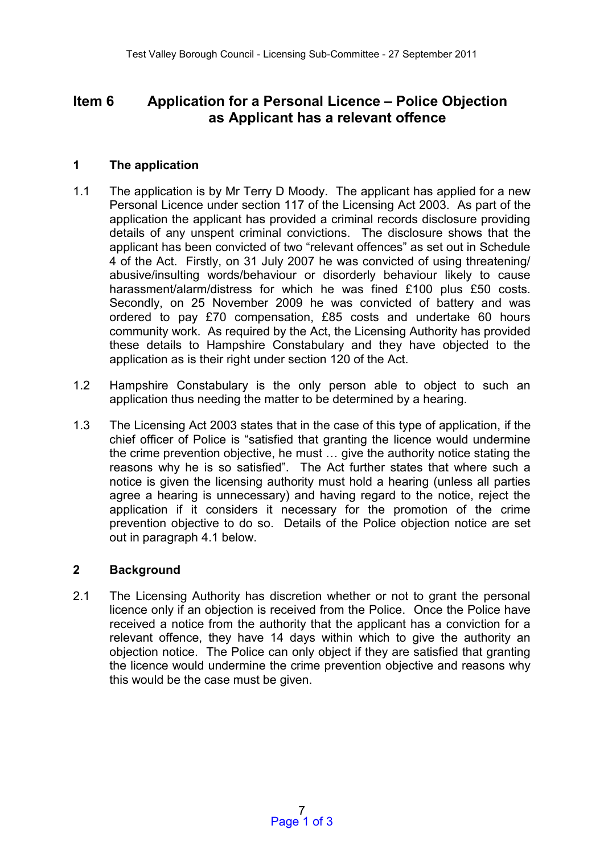# **Item 6 Application for a Personal Licence – Police Objection as Applicant has a relevant offence**

## **1 The application**

- 1.1 The application is by Mr Terry D Moody. The applicant has applied for a new Personal Licence under section 117 of the Licensing Act 2003. As part of the application the applicant has provided a criminal records disclosure providing details of any unspent criminal convictions. The disclosure shows that the applicant has been convicted of two "relevant offences" as set out in Schedule 4 of the Act. Firstly, on 31 July 2007 he was convicted of using threatening/ abusive/insulting words/behaviour or disorderly behaviour likely to cause harassment/alarm/distress for which he was fined £100 plus £50 costs. Secondly, on 25 November 2009 he was convicted of battery and was ordered to pay £70 compensation, £85 costs and undertake 60 hours community work. As required by the Act, the Licensing Authority has provided these details to Hampshire Constabulary and they have objected to the application as is their right under section 120 of the Act.
- 1.2 Hampshire Constabulary is the only person able to object to such an application thus needing the matter to be determined by a hearing.
- 1.3 The Licensing Act 2003 states that in the case of this type of application, if the chief officer of Police is "satisfied that granting the licence would undermine the crime prevention objective, he must … give the authority notice stating the reasons why he is so satisfied". The Act further states that where such a notice is given the licensing authority must hold a hearing (unless all parties agree a hearing is unnecessary) and having regard to the notice, reject the application if it considers it necessary for the promotion of the crime prevention objective to do so. Details of the Police objection notice are set out in paragraph 4.1 below.

#### **2 Background**

2.1 The Licensing Authority has discretion whether or not to grant the personal licence only if an objection is received from the Police. Once the Police have received a notice from the authority that the applicant has a conviction for a relevant offence, they have 14 days within which to give the authority an objection notice. The Police can only object if they are satisfied that granting the licence would undermine the crime prevention objective and reasons why this would be the case must be given.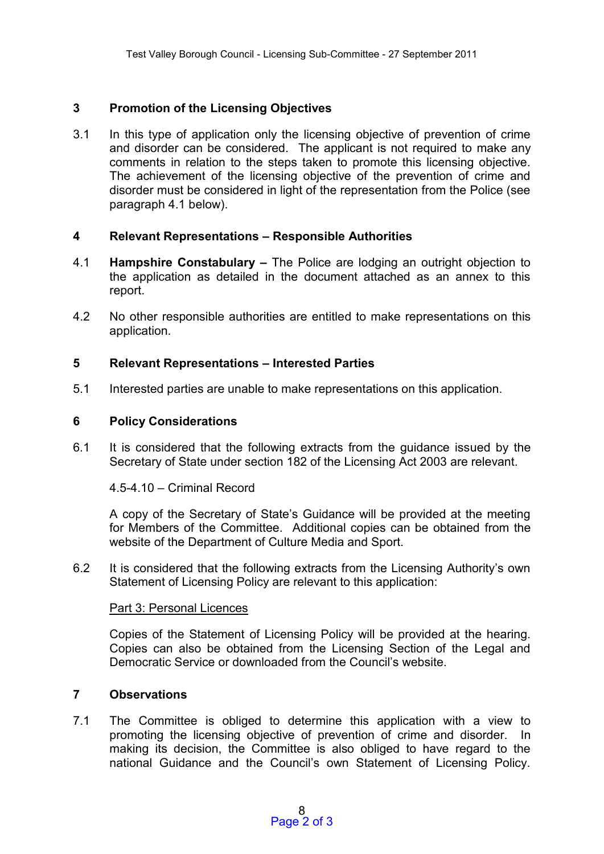## **3 Promotion of the Licensing Objectives**

3.1 In this type of application only the licensing objective of prevention of crime and disorder can be considered. The applicant is not required to make any comments in relation to the steps taken to promote this licensing objective. The achievement of the licensing objective of the prevention of crime and disorder must be considered in light of the representation from the Police (see paragraph 4.1 below).

## **4 Relevant Representations – Responsible Authorities**

- 4.1 **Hampshire Constabulary –** The Police are lodging an outright objection to the application as detailed in the document attached as an annex to this report.
- 4.2 No other responsible authorities are entitled to make representations on this application.

## **5 Relevant Representations – Interested Parties**

5.1 Interested parties are unable to make representations on this application.

## **6 Policy Considerations**

6.1 It is considered that the following extracts from the guidance issued by the Secretary of State under section 182 of the Licensing Act 2003 are relevant.

4.5-4.10 – Criminal Record

A copy of the Secretary of State's Guidance will be provided at the meeting for Members of the Committee. Additional copies can be obtained from the website of the Department of Culture Media and Sport.

6.2 It is considered that the following extracts from the Licensing Authority's own Statement of Licensing Policy are relevant to this application:

#### Part 3: Personal Licences

Copies of the Statement of Licensing Policy will be provided at the hearing. Copies can also be obtained from the Licensing Section of the Legal and Democratic Service or downloaded from the Council's website.

# **7 Observations**

7.1 The Committee is obliged to determine this application with a view to promoting the licensing objective of prevention of crime and disorder. In making its decision, the Committee is also obliged to have regard to the national Guidance and the Council's own Statement of Licensing Policy.